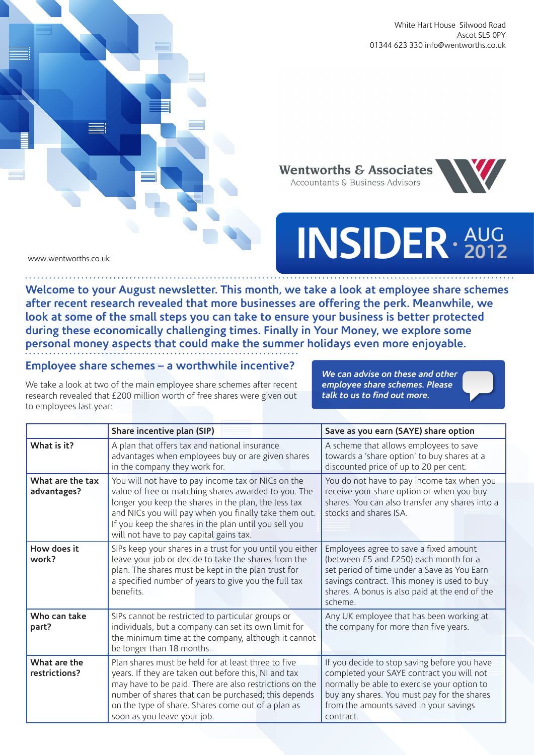White Hart House Silwood Road Ascot SL5 0PY 01344 623 330 info@wentworths.co.uk

**Wentworths & Associates** Accountants & Business Advisors



## **INSIDER** AUG **2012**

www.wentworths.co.uk

. . . . . . . . . . . . . . . . . . .

**Description 3** 

**Welcome to your August newsletter. This month, we take a look at employee share schemes after recent research revealed that more businesses are offering the perk. Meanwhile, we look at some of the small steps you can take to ensure your business is better protected during these economically challenging times. Finally in Your Money, we explore some personal money aspects that could make the summer holidays even more enjoyable.** 

## **Employee share schemes – a worthwhile incentive?**

We take a look at two of the main employee share schemes after recent research revealed that £200 million worth of free shares were given out to employees last year:

*We can advise on these and other employee share schemes. Please talk to us to find out more.*

|                                 | Share incentive plan (SIP)                                                                                                                                                                                                                                                                                                      | Save as you earn (SAYE) share option                                                                                                                                                                                                           |
|---------------------------------|---------------------------------------------------------------------------------------------------------------------------------------------------------------------------------------------------------------------------------------------------------------------------------------------------------------------------------|------------------------------------------------------------------------------------------------------------------------------------------------------------------------------------------------------------------------------------------------|
| What is it?                     | A plan that offers tax and national insurance<br>advantages when employees buy or are given shares<br>in the company they work for.                                                                                                                                                                                             | A scheme that allows employees to save<br>towards a 'share option' to buy shares at a<br>discounted price of up to 20 per cent.                                                                                                                |
| What are the tax<br>advantages? | You will not have to pay income tax or NICs on the<br>value of free or matching shares awarded to you. The<br>longer you keep the shares in the plan, the less tax<br>and NICs you will pay when you finally take them out.<br>If you keep the shares in the plan until you sell you<br>will not have to pay capital gains tax. | You do not have to pay income tax when you<br>receive your share option or when you buy<br>shares. You can also transfer any shares into a<br>stocks and shares ISA.                                                                           |
| How does it<br>work?            | SIPs keep your shares in a trust for you until you either<br>leave your job or decide to take the shares from the<br>plan. The shares must be kept in the plan trust for<br>a specified number of years to give you the full tax<br>benefits.                                                                                   | Employees agree to save a fixed amount<br>(between £5 and £250) each month for a<br>set period of time under a Save as You Earn<br>savings contract. This money is used to buy<br>shares. A bonus is also paid at the end of the<br>scheme     |
| Who can take<br>part?           | SIPs cannot be restricted to particular groups or<br>individuals, but a company can set its own limit for<br>the minimum time at the company, although it cannot<br>be longer than 18 months.                                                                                                                                   | Any UK employee that has been working at<br>the company for more than five years.                                                                                                                                                              |
| What are the<br>restrictions?   | Plan shares must be held for at least three to five<br>years. If they are taken out before this, NI and tax<br>may have to be paid. There are also restrictions on the<br>number of shares that can be purchased; this depends<br>on the type of share. Shares come out of a plan as<br>soon as you leave your job.             | If you decide to stop saving before you have<br>completed your SAYE contract you will not<br>normally be able to exercise your option to<br>buy any shares. You must pay for the shares<br>from the amounts saved in your savings<br>contract. |